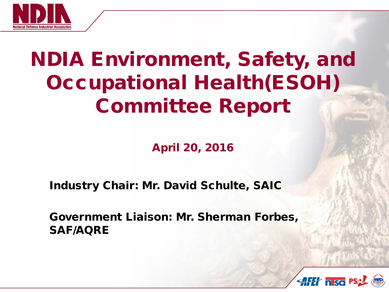

# NDIA Environment, Safety, and Occupational Health(ESOH) Committee Report

April 20, 2016

Industry Chair: Mr. David Schulte, SAIC

Government Liaison: Mr. Sherman Forbes, SAF/AQRE

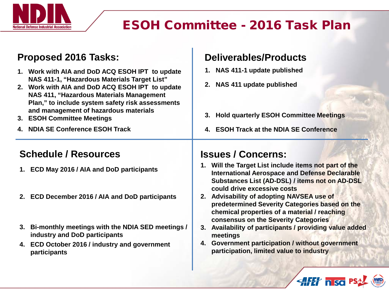

## ESOH Committee - 2016 Task Plan

#### **Proposed 2016 Tasks:**

- **1. Work with AIA and DoD ACQ ESOH IPT to update NAS 411-1, "Hazardous Materials Target List"**
- **2. Work with AIA and DoD ACQ ESOH IPT to update NAS 411, "Hazardous Materials Management Plan," to include system safety risk assessments and management of hazardous materials**
- **3. ESOH Committee Meetings**
- **4. NDIA SE Conference ESOH Track**

#### **Schedule / Resources**

- **1. ECD May 2016 / AIA and DoD participants**
- **2. ECD December 2016 / AIA and DoD participants**
- **3. Bi-monthly meetings with the NDIA SED meetings / industry and DoD participants**
- **4. ECD October 2016 / industry and government participants**

#### **Deliverables/Products**

- **1. NAS 411-1 update published**
- **2. NAS 411 update published**
- **3. Hold quarterly ESOH Committee Meetings**
- **4. ESOH Track at the NDIA SE Conference**

#### **Issues / Concerns:**

- **1. Will the Target List include items not part of the International Aerospace and Defense Declarable Substances List (AD-DSL) / items not on AD-DSL could drive excessive costs**
- **2. Advisability of adopting NAVSEA use of predetermined Severity Categories based on the chemical properties of a material / reaching consensus on the Severity Categories**
- **3. Availability of participants / providing value added meetings**
- **4. Government participation / without government participation, limited value to industry**

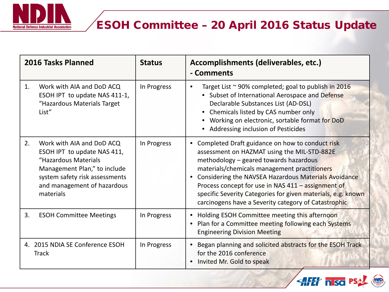

### ESOH Committee – 20 April 2016 Status Update

**ENTER IN ISO PSAL (WD)** 

| 2016 Tasks Planned                              |                                                                                                                                                                                                | <b>Status</b> | Accomplishments (deliverables, etc.)<br>- Comments                                                                                                                                                                                                                                                                                                                                                                                          |
|-------------------------------------------------|------------------------------------------------------------------------------------------------------------------------------------------------------------------------------------------------|---------------|---------------------------------------------------------------------------------------------------------------------------------------------------------------------------------------------------------------------------------------------------------------------------------------------------------------------------------------------------------------------------------------------------------------------------------------------|
| 1.                                              | Work with AIA and DoD ACQ<br>ESOH IPT to update NAS 411-1,<br>"Hazardous Materials Target<br>List"                                                                                             | In Progress   | Target List $\sim$ 90% completed; goal to publish in 2016<br>$\bullet$<br>• Subset of International Aerospace and Defense<br>Declarable Substances List (AD-DSL)<br>• Chemicals listed by CAS number only<br>• Working on electronic, sortable format for DoD<br>• Addressing inclusion of Pesticides                                                                                                                                       |
| 2.                                              | Work with AIA and DoD ACQ<br>ESOH IPT to update NAS 411,<br>"Hazardous Materials<br>Management Plan," to include<br>system safety risk assessments<br>and management of hazardous<br>materials | In Progress   | Completed Draft guidance on how to conduct risk<br>assessment on HAZMAT using the MIL-STD-882E<br>methodology - geared towards hazardous<br>materials/chemicals management practitioners<br>Considering the NAVSEA Hazardous Materials Avoidance<br>$\bullet$<br>Process concept for use in NAS 411 - assignment of<br>specific Severity Categories for given materials, e.g. known<br>carcinogens have a Severity category of Catastrophic |
| 3.                                              | <b>ESOH Committee Meetings</b>                                                                                                                                                                 | In Progress   | Holding ESOH Committee meeting this afternoon<br>Plan for a Committee meeting following each Systems<br><b>Engineering Division Meeting</b>                                                                                                                                                                                                                                                                                                 |
| 4. 2015 NDIA SE Conference ESOH<br><b>Track</b> |                                                                                                                                                                                                | In Progress   | Began planning and solicited abstracts for the ESOH Track<br>$\bullet$<br>for the 2016 conference<br>Invited Mr. Gold to speak                                                                                                                                                                                                                                                                                                              |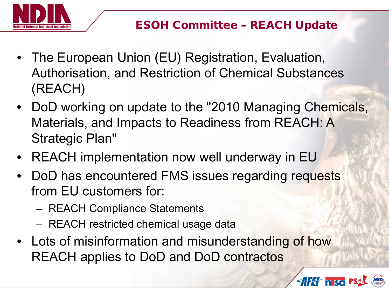

- The European Union (EU) Registration, Evaluation, Authorisation, and Restriction of Chemical Substances (REACH)
- DoD working on update to the "2010 Managing Chemicals, Materials, and Impacts to Readiness from REACH: A Strategic Plan"
- REACH implementation now well underway in EU
- DoD has encountered FMS issues regarding requests from EU customers for:
	- REACH Compliance Statements
	- REACH restricted chemical usage data
- Lots of misinformation and misunderstanding of how REACH applies to DoD and DoD contractos